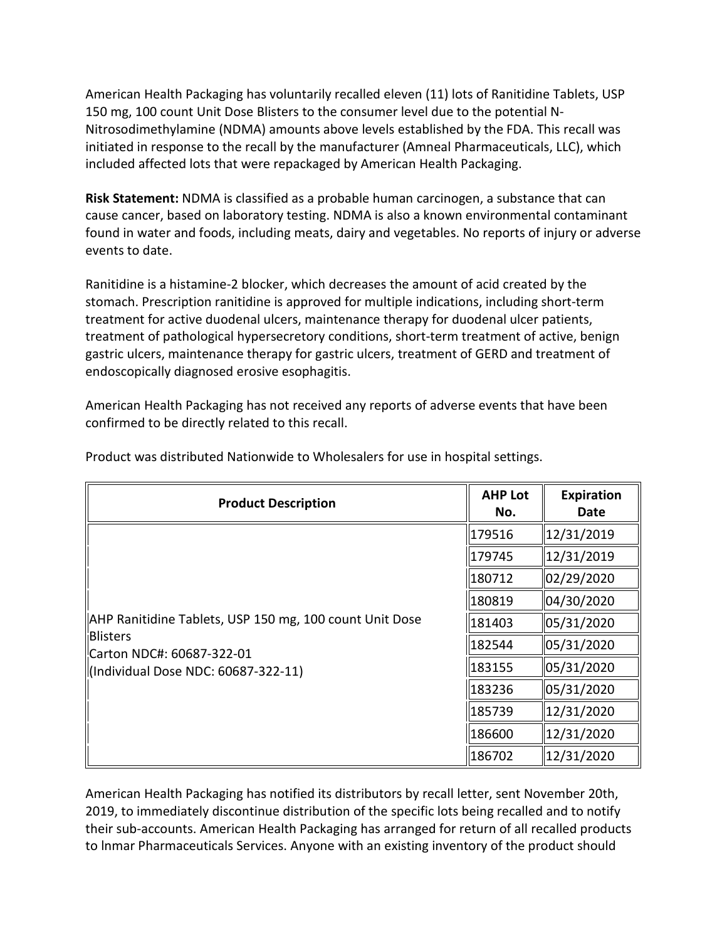150 mg, 100 count Unit Dose Blisters to the consumer level due to the potential N- Nitrosodimethylamine (NDMA) amounts above levels established by the FDA. This recall was American Health Packaging has voluntarily recalled eleven (11) lots of Ranitidine Tablets, USP initiated in response to the recall by the manufacturer (Amneal Pharmaceuticals, LLC), which included affected lots that were repackaged by American Health Packaging.

 **Risk Statement:** NDMA is classified as a probable human carcinogen, a substance that can cause cancer, based on laboratory testing. NDMA is also a known environmental contaminant found in water and foods, including meats, dairy and vegetables. No reports of injury or adverse events to date.

 treatment for active duodenal ulcers, maintenance therapy for duodenal ulcer patients, gastric ulcers, maintenance therapy for gastric ulcers, treatment of GERD and treatment of Ranitidine is a histamine-2 blocker, which decreases the amount of acid created by the stomach. Prescription ranitidine is approved for multiple indications, including short-term treatment of pathological hypersecretory conditions, short-term treatment of active, benign endoscopically diagnosed erosive esophagitis.

American Health Packaging has not received any reports of adverse events that have been confirmed to be directly related to this recall.

| <b>Product Description</b>                                                                                                                     | <b>AHP Lot</b><br>No. | <b>Expiration</b><br>Date |
|------------------------------------------------------------------------------------------------------------------------------------------------|-----------------------|---------------------------|
| AHP Ranitidine Tablets, USP 150 mg, 100 count Unit Dose<br><b>Blisters</b><br>Carton NDC#: 60687-322-01<br>(Individual Dose NDC: 60687-322-11) | 179516                | 12/31/2019                |
|                                                                                                                                                | 179745                | 12/31/2019                |
|                                                                                                                                                | 180712                | 02/29/2020                |
|                                                                                                                                                | 180819                | 04/30/2020                |
|                                                                                                                                                | 181403                | 05/31/2020                |
|                                                                                                                                                | 182544                | 05/31/2020                |
|                                                                                                                                                | 183155                | 05/31/2020                |
|                                                                                                                                                | 183236                | 05/31/2020                |
|                                                                                                                                                | 185739                | 12/31/2020                |
|                                                                                                                                                | 186600                | 12/31/2020                |
|                                                                                                                                                | 186702                | 12/31/2020                |

Product was distributed Nationwide to Wholesalers for use in hospital settings.

 American Health Packaging has notified its distributors by recall letter, sent November 20th, their sub-accounts. American Health Packaging has arranged for return of all recalled products 2019, to immediately discontinue distribution of the specific lots being recalled and to notify to lnmar Pharmaceuticals Services. Anyone with an existing inventory of the product should